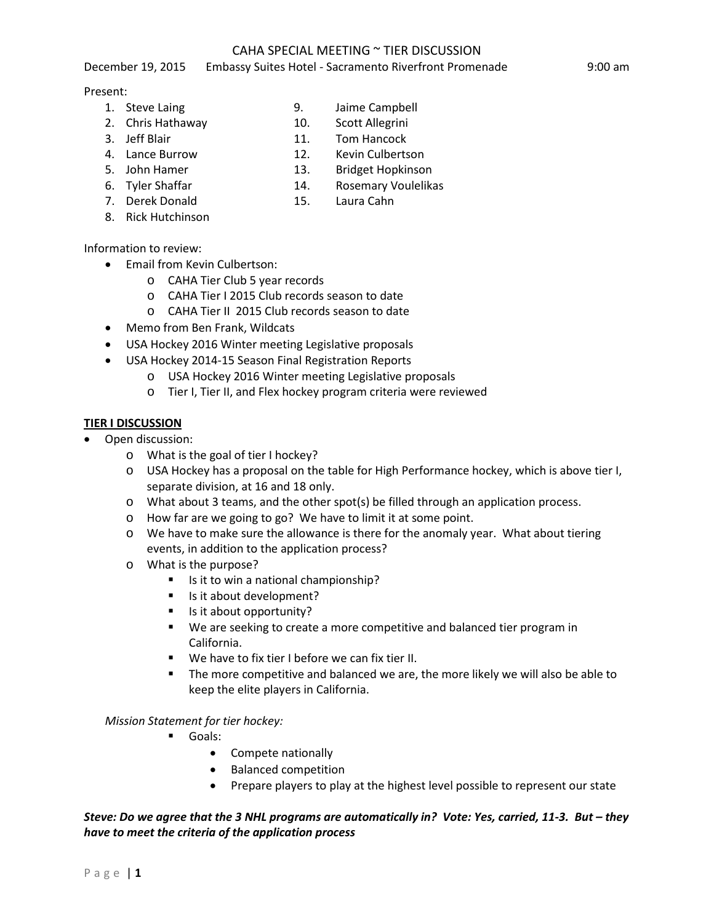### CAHA SPECIAL MEETING ~ TIER DISCUSSION December 19, 2015 Embassy Suites Hotel - Sacramento Riverfront Promenade 9:00 am

#### Present:

- 1. Steve Laing 3. Jaime Campbell
- 
- 3. Jeff Blair 11. Tom Hancock
- 
- 
- 
- 
- 8. Rick Hutchinson

Information to review:

- Email from Kevin Culbertson:
	- o CAHA Tier Club 5 year records
	- o CAHA Tier I 2015 Club records season to date
	- o CAHA Tier II 2015 Club records season to date
- Memo from Ben Frank, Wildcats
- USA Hockey 2016 Winter meeting Legislative proposals
- USA Hockey 2014-15 Season Final Registration Reports
	- o USA Hockey 2016 Winter meeting Legislative proposals
	- o Tier I, Tier II, and Flex hockey program criteria were reviewed

### **TIER I DISCUSSION**

- Open discussion:
	- o What is the goal of tier I hockey?
	- o USA Hockey has a proposal on the table for High Performance hockey, which is above tier I, separate division, at 16 and 18 only.
	- o What about 3 teams, and the other spot(s) be filled through an application process.
	- o How far are we going to go? We have to limit it at some point.
	- o We have to make sure the allowance is there for the anomaly year. What about tiering events, in addition to the application process?
	- o What is the purpose?
		- Is it to win a national championship?
		- Is it about development?
		- Is it about opportunity?
		- We are seeking to create a more competitive and balanced tier program in California.
		- We have to fix tier I before we can fix tier II.
		- The more competitive and balanced we are, the more likely we will also be able to keep the elite players in California.

## *Mission Statement for tier hockey:*

- Goals:
	- Compete nationally
	- Balanced competition
	- Prepare players to play at the highest level possible to represent our state

# *Steve: Do we agree that the 3 NHL programs are automatically in? Vote: Yes, carried, 11-3. But – they have to meet the criteria of the application process*

- 2. Chris Hathaway 10. Scott Allegrini
	-
	-
	-
	-
- 4. Lance Burrow 12. Kevin Culbertson
- 5. John Hamer 13. Bridget Hopkinson
- 6. Tyler Shaffar 14. Rosemary Voulelikas
- 7. Derek Donald 15. Laura Cahn
-